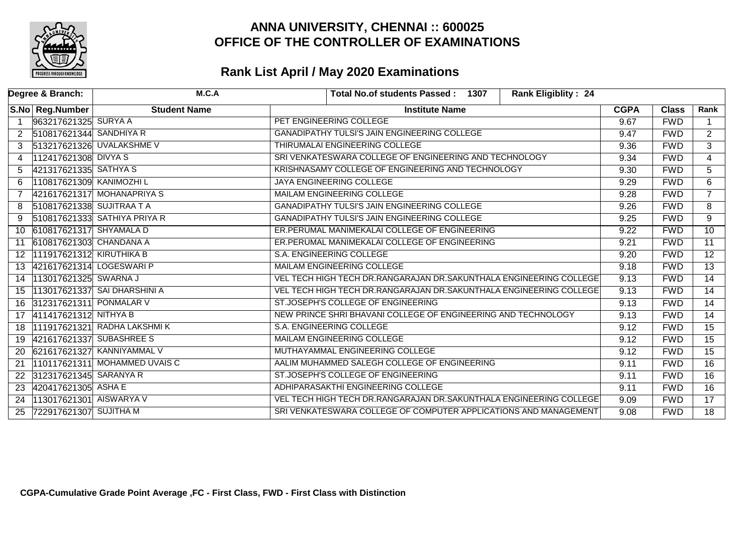

| Degree & Branch: |                           | M.C.A                         | <b>Rank Eligiblity: 24</b><br>Total No.of students Passed: 1307    |             |              |                 |
|------------------|---------------------------|-------------------------------|--------------------------------------------------------------------|-------------|--------------|-----------------|
|                  | S.No Reg.Number           | <b>Student Name</b>           | <b>Institute Name</b>                                              | <b>CGPA</b> | <b>Class</b> | Rank            |
|                  | 963217621325 SURYA A      |                               | PET ENGINEERING COLLEGE                                            | 9.67        | <b>FWD</b>   |                 |
| $\overline{2}$   | 510817621344 SANDHIYA R   |                               | GANADIPATHY TULSI'S JAIN ENGINEERING COLLEGE                       | 9.47        | <b>FWD</b>   | $\overline{2}$  |
| 3                |                           | 513217621326 UVALAKSHME V     | THIRUMALAI ENGINEERING COLLEGE                                     | 9.36        | <b>FWD</b>   | $\overline{3}$  |
| 4                | 112417621308 DIVYA S      |                               | SRI VENKATESWARA COLLEGE OF ENGINEERING AND TECHNOLOGY             | 9.34        | <b>FWD</b>   | $\overline{4}$  |
| 5                | 421317621335 SATHYA S     |                               | KRISHNASAMY COLLEGE OF ENGINEERING AND TECHNOLOGY                  | 9.30        | <b>FWD</b>   | 5               |
| 6                | 110817621309 KANIMOZHI L  |                               | JAYA ENGINEERING COLLEGE                                           | 9.29        | <b>FWD</b>   | 6               |
|                  |                           | 421617621317 MOHANAPRIYA S    | MAILAM ENGINEERING COLLEGE                                         | 9.28        | <b>FWD</b>   | $\overline{7}$  |
| 8                | 510817621338 SUJITRAA T A |                               | GANADIPATHY TULSI'S JAIN ENGINEERING COLLEGE                       | 9.26        | <b>FWD</b>   | 8               |
| 9                |                           | 510817621333 SATHIYA PRIYA R  | GANADIPATHY TULSI'S JAIN ENGINEERING COLLEGE                       | 9.25        | <b>FWD</b>   | 9               |
| 10               | 610817621317 SHYAMALA D   |                               | ER.PERUMAL MANIMEKALAI COLLEGE OF ENGINEERING                      | 9.22        | <b>FWD</b>   | $\overline{10}$ |
| 11               | 610817621303 CHANDANA A   |                               | ER.PERUMAL MANIMEKALAI COLLEGE OF ENGINEERING                      | 9.21        | <b>FWD</b>   | $\overline{11}$ |
| 12 <sup>1</sup>  | 111917621312 KIRUTHIKA B  |                               | S.A. ENGINEERING COLLEGE                                           | 9.20        | <b>FWD</b>   | $\overline{12}$ |
| 13               | 421617621314 LOGESWARI P  |                               | MAILAM ENGINEERING COLLEGE                                         | 9.18        | <b>FWD</b>   | $\overline{13}$ |
| 14               | 113017621325 SWARNA J     |                               | VEL TECH HIGH TECH DR.RANGARAJAN DR.SAKUNTHALA ENGINEERING COLLEGE | 9.13        | <b>FWD</b>   | $\overline{14}$ |
| 15               |                           | 113017621337 SAI DHARSHINI A  | VEL TECH HIGH TECH DR.RANGARAJAN DR.SAKUNTHALA ENGINEERING COLLEGE | 9.13        | <b>FWD</b>   | $\overline{14}$ |
| 16               | 312317621311 PONMALAR V   |                               | ST.JOSEPH'S COLLEGE OF ENGINEERING                                 | 9.13        | <b>FWD</b>   | 14              |
| 17               | 411417621312 NITHYA B     |                               | NEW PRINCE SHRI BHAVANI COLLEGE OF ENGINEERING AND TECHNOLOGY      | 9.13        | <b>FWD</b>   | 14              |
| 18               |                           | 111917621321 RADHA LAKSHMIK   | S.A. ENGINEERING COLLEGE                                           | 9.12        | <b>FWD</b>   | $\overline{15}$ |
| 19               | 421617621337 SUBASHREE S  |                               | MAILAM ENGINEERING COLLEGE                                         | 9.12        | <b>FWD</b>   | $\overline{15}$ |
| 20               |                           | 621617621327 KANNIYAMMAL V    | MUTHAYAMMAL ENGINEERING COLLEGE                                    | 9.12        | <b>FWD</b>   | $\overline{15}$ |
| 21               |                           | 110117621311 MOHAMMED UVAIS C | AALIM MUHAMMED SALEGH COLLEGE OF ENGINEERING                       | 9.11        | <b>FWD</b>   | $\overline{16}$ |
| 22               | 312317621345 SARANYA R    |                               | ST.JOSEPH'S COLLEGE OF ENGINEERING                                 | 9.11        | <b>FWD</b>   | $\overline{16}$ |
| 23               | 420417621305 ASHA E       |                               | ADHIPARASAKTHI ENGINEERING COLLEGE                                 | 9.11        | <b>FWD</b>   | $\overline{16}$ |
| 24               | 113017621301 AISWARYA V   |                               | VEL TECH HIGH TECH DR.RANGARAJAN DR.SAKUNTHALA ENGINEERING COLLEGE | 9.09        | <b>FWD</b>   | $\overline{17}$ |
| 25               | 722917621307 SUJITHA M    |                               | SRI VENKATESWARA COLLEGE OF COMPUTER APPLICATIONS AND MANAGEMENT   | 9.08        | <b>FWD</b>   | $\overline{18}$ |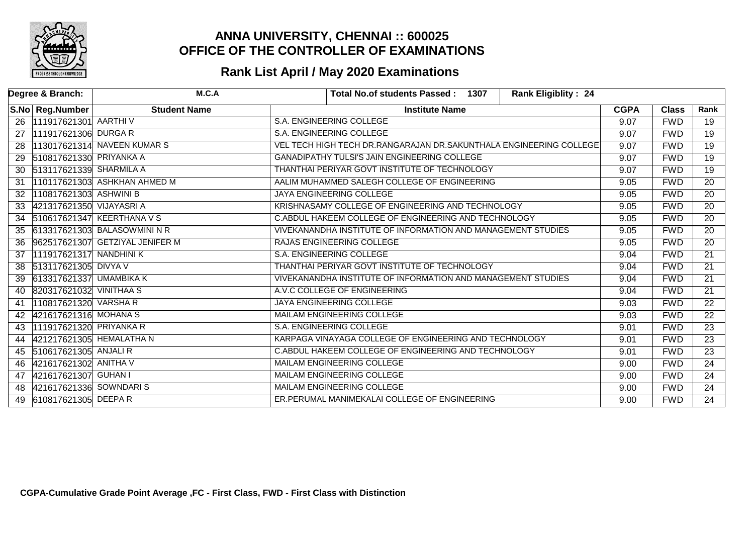

|    | Degree & Branch:         | M.C.A                           | <b>Total No.of students Passed:</b><br><b>Rank Eligiblity: 24</b><br>1307 |             |              |                 |
|----|--------------------------|---------------------------------|---------------------------------------------------------------------------|-------------|--------------|-----------------|
|    | S.No Reg.Number          | <b>Student Name</b>             | <b>Institute Name</b>                                                     | <b>CGPA</b> | <b>Class</b> | Rank            |
| 26 | 111917621301 AARTHIV     |                                 | <b>S.A. ENGINEERING COLLEGE</b>                                           | 9.07        | <b>FWD</b>   | $\overline{19}$ |
| 27 | 111917621306 DURGA R     |                                 | <b>S.A. ENGINEERING COLLEGE</b>                                           | 9.07        | <b>FWD</b>   | $\overline{19}$ |
| 28 |                          | 113017621314 NAVEEN KUMAR S     | VEL TECH HIGH TECH DR.RANGARAJAN DR.SAKUNTHALA ENGINEERING COLLEGE        | 9.07        | <b>FWD</b>   | 19              |
| 29 | 510817621330 PRIYANKA A  |                                 | <b>GANADIPATHY TULSI'S JAIN ENGINEERING COLLEGE</b>                       | 9.07        | <b>FWD</b>   | $\overline{19}$ |
| 30 | 513117621339 SHARMILA A  |                                 | THANTHAI PERIYAR GOVT INSTITUTE OF TECHNOLOGY                             | 9.07        | <b>FWD</b>   | 19              |
| 31 |                          | 110117621303 ASHKHAN AHMED M    | AALIM MUHAMMED SALEGH COLLEGE OF ENGINEERING                              | 9.05        | <b>FWD</b>   | $\overline{20}$ |
| 32 | 110817621303 ASHWINI B   |                                 | JAYA ENGINEERING COLLEGE                                                  | 9.05        | <b>FWD</b>   | $\overline{20}$ |
| 33 | 421317621350 VIJAYASRI A |                                 | KRISHNASAMY COLLEGE OF ENGINEERING AND TECHNOLOGY                         | 9.05        | <b>FWD</b>   | $\overline{20}$ |
| 34 |                          | 510617621347 KEERTHANA V S      | C.ABDUL HAKEEM COLLEGE OF ENGINEERING AND TECHNOLOGY                      | 9.05        | <b>FWD</b>   | $\overline{20}$ |
| 35 |                          | 613317621303 BALASOWMINI N R    | VIVEKANANDHA INSTITUTE OF INFORMATION AND MANAGEMENT STUDIES              | 9.05        | <b>FWD</b>   | 20              |
| 36 |                          | 962517621307 GETZIYAL JENIFER M | RAJAS ENGINEERING COLLEGE                                                 | 9.05        | <b>FWD</b>   | $\overline{20}$ |
| 37 | 111917621317 NANDHINI K  |                                 | S.A. ENGINEERING COLLEGE                                                  | 9.04        | <b>FWD</b>   | $\overline{21}$ |
| 38 | 513117621305 DIVYA V     |                                 | THANTHAI PERIYAR GOVT INSTITUTE OF TECHNOLOGY                             | 9.04        | <b>FWD</b>   | $\overline{21}$ |
| 39 | 613317621337 UMAMBIKA K  |                                 | VIVEKANANDHA INSTITUTE OF INFORMATION AND MANAGEMENT STUDIES              | 9.04        | <b>FWD</b>   | $\overline{21}$ |
| 40 | 820317621032 VINITHAA S  |                                 | A.V.C COLLEGE OF ENGINEERING                                              | 9.04        | <b>FWD</b>   | $\overline{21}$ |
| 41 | 110817621320 VARSHA R    |                                 | JAYA ENGINEERING COLLEGE                                                  | 9.03        | <b>FWD</b>   | $\overline{22}$ |
| 42 | 421617621316 MOHANA S    |                                 | <b>MAILAM ENGINEERING COLLEGE</b>                                         | 9.03        | <b>FWD</b>   | 22              |
| 43 | 111917621320 PRIYANKA R  |                                 | <b>S.A. ENGINEERING COLLEGE</b>                                           | 9.01        | <b>FWD</b>   | $\overline{23}$ |
| 44 | 421217621305 HEMALATHA N |                                 | KARPAGA VINAYAGA COLLEGE OF ENGINEERING AND TECHNOLOGY                    | 9.01        | <b>FWD</b>   | $\overline{23}$ |
| 45 | 510617621305 ANJALIR     |                                 | C.ABDUL HAKEEM COLLEGE OF ENGINEERING AND TECHNOLOGY                      | 9.01        | <b>FWD</b>   | $\overline{23}$ |
| 46 | 421617621302 ANITHA V    |                                 | <b>MAILAM ENGINEERING COLLEGE</b>                                         | 9.00        | <b>FWD</b>   | $\overline{24}$ |
| 47 | 421617621307 GUHAN I     |                                 | MAILAM ENGINEERING COLLEGE                                                | 9.00        | <b>FWD</b>   | 24              |
| 48 | 421617621336 SOWNDARIS   |                                 | MAILAM ENGINEERING COLLEGE                                                | 9.00        | <b>FWD</b>   | $\overline{24}$ |
| 49 | 610817621305 DEEPAR      |                                 | ER.PERUMAL MANIMEKALAI COLLEGE OF ENGINEERING                             | 9.00        | <b>FWD</b>   | 24              |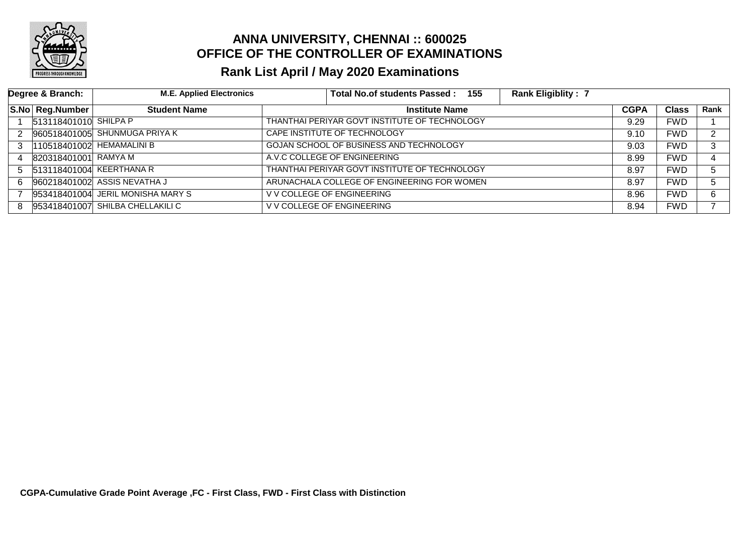

|    | Degree & Branch:      | <b>M.E. Applied Electronics</b>   |                              | Total No.of students Passed: 155              | <b>Rank Eligiblity: 7</b> |      |              |      |
|----|-----------------------|-----------------------------------|------------------------------|-----------------------------------------------|---------------------------|------|--------------|------|
|    | S.No Reg.Number       | <b>Student Name</b>               |                              | <b>CGPA</b><br><b>Institute Name</b>          |                           |      | <b>Class</b> | Rank |
|    | 513118401010 SHILPA P |                                   |                              | THANTHAI PERIYAR GOVT INSTITUTE OF TECHNOLOGY |                           | 9.29 | <b>FWD</b>   |      |
| 2  |                       | 960518401005 SHUNMUGA PRIYA K     | CAPE INSTITUTE OF TECHNOLOGY |                                               |                           | 9.10 | <b>FWD</b>   | ົ    |
| 3  |                       | 110518401002 HEMAMALINI B         |                              | GOJAN SCHOOL OF BUSINESS AND TECHNOLOGY       |                           |      | <b>FWD</b>   | 3    |
| 4  | 820318401001 RAMYA M  |                                   | A.V.C COLLEGE OF ENGINEERING |                                               |                           | 8.99 | <b>FWD</b>   |      |
| 5. |                       | 513118401004 KEERTHANA R          |                              | THANTHAI PERIYAR GOVT INSTITUTE OF TECHNOLOGY |                           | 8.97 | <b>FWD</b>   | 5    |
| 6. |                       | 960218401002 ASSIS NEVATHA J      |                              | ARUNACHALA COLLEGE OF ENGINEERING FOR WOMEN   |                           |      | <b>FWD</b>   | 5.   |
|    |                       | 953418401004 JERIL MONISHA MARY S | V V COLLEGE OF ENGINEERING   |                                               |                           | 8.96 | <b>FWD</b>   | 6    |
| 8  |                       | 953418401007 SHILBA CHELLAKILI C  | V V COLLEGE OF ENGINEERING   |                                               |                           | 8.94 | <b>FWD</b>   |      |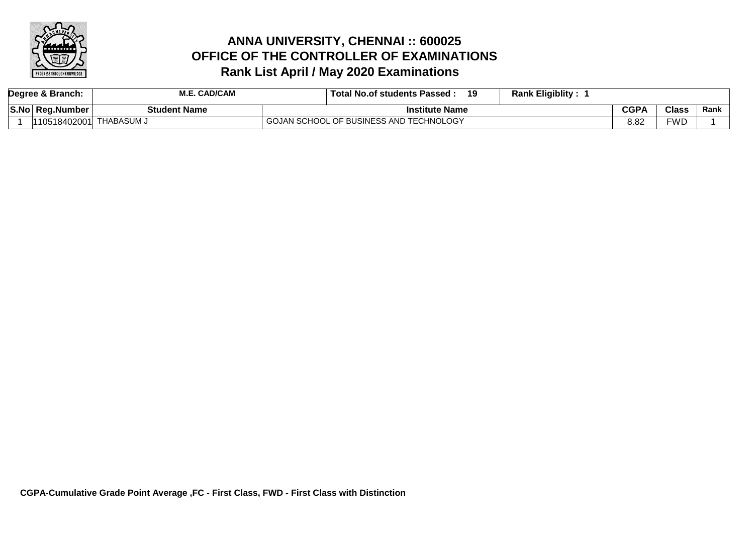

### **Rank List April / May 2020 Examinations ANNA UNIVERSITY, CHENNAI :: 600025 OFFICE OF THE CONTROLLER OF EXAMINATIONS**

|      | Degree & Branch:        | <b>M.E. CAD/CAM</b> | <b>Rank Eligiblity:</b><br>Total No.of students Passed:<br>19 |             |              |      |
|------|-------------------------|---------------------|---------------------------------------------------------------|-------------|--------------|------|
| S.No | Rea.Number              | <b>Student Name</b> | Institute Name                                                | <b>CGPA</b> | <b>Class</b> | Rank |
|      | 110518402001 THABASUM J |                     | GOJAN SCHOOL OF BUSINESS AND TECHNOLOGY                       | 8.82        | <b>FWD</b>   |      |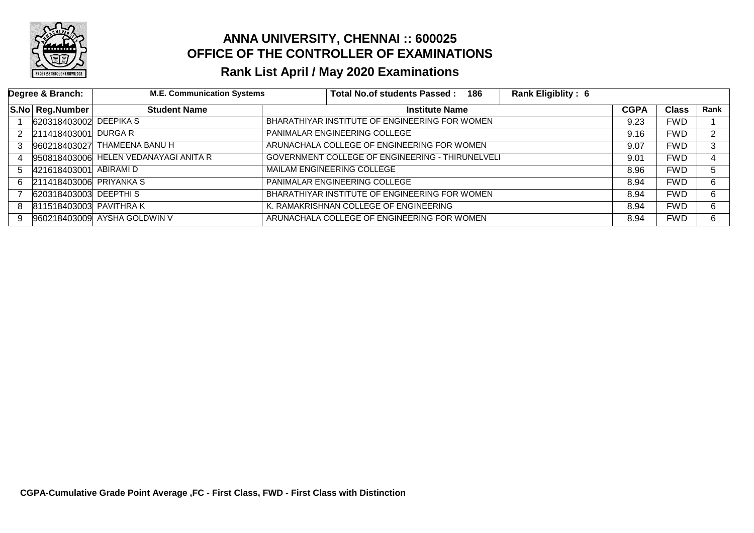

|    | Degree & Branch:        | <b>M.E. Communication Systems</b>     | Total No.of students Passed: 186                        | <b>Rank Eligiblity: 6</b> |              |      |
|----|-------------------------|---------------------------------------|---------------------------------------------------------|---------------------------|--------------|------|
|    | S.No Reg.Number         | <b>Student Name</b>                   | <b>Institute Name</b>                                   | <b>CGPA</b>               | <b>Class</b> | Rank |
|    | 620318403002 DEEPIKA S  |                                       | BHARATHIYAR INSTITUTE OF ENGINEERING FOR WOMEN          | 9.23                      | <b>FWD</b>   |      |
| 2  | 211418403001 DURGA R    |                                       | PANIMALAR ENGINEERING COLLEGE                           | 9.16                      | <b>FWD</b>   | ົ    |
| 3  |                         | 960218403027 THAMEENA BANU H          | ARUNACHALA COLLEGE OF ENGINEERING FOR WOMEN             | 9.07                      | <b>FWD</b>   | 3    |
| 4  |                         | 950818403006 HELEN VEDANAYAGI ANITA R | <b>GOVERNMENT COLLEGE OF ENGINEERING - THIRUNELVELI</b> | 9.01                      | <b>FWD</b>   | 4    |
| 5. | 421618403001 ABIRAMI D  |                                       | MAILAM ENGINEERING COLLEGE                              | 8.96                      | <b>FWD</b>   | 5.   |
| 6. | 211418403006 PRIYANKA S |                                       | PANIMALAR ENGINEERING COLLEGE                           | 8.94                      | <b>FWD</b>   | 6    |
|    | 620318403003 DEEPTHIS   |                                       | BHARATHIYAR INSTITUTE OF ENGINEERING FOR WOMEN          | 8.94                      | <b>FWD</b>   | 6    |
| 8  | 811518403003 PAVITHRAK  |                                       | K. RAMAKRISHNAN COLLEGE OF ENGINEERING                  | 8.94                      | <b>FWD</b>   | 6    |
| 9  |                         | 960218403009 AYSHA GOLDWIN V          | ARUNACHALA COLLEGE OF ENGINEERING FOR WOMEN             | 8.94                      | <b>FWD</b>   | 6.   |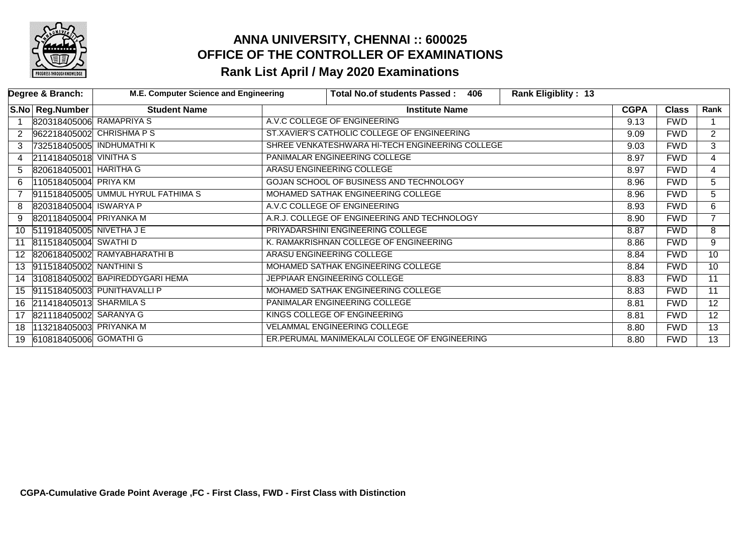

|                 | Degree & Branch:           | M.E. Computer Science and Engineering | <b>Rank Eligiblity: 13</b><br><b>Total No.of students Passed:</b><br>406 |             |              |                 |
|-----------------|----------------------------|---------------------------------------|--------------------------------------------------------------------------|-------------|--------------|-----------------|
|                 | S.No Reg.Number            | <b>Student Name</b>                   | <b>Institute Name</b>                                                    | <b>CGPA</b> | <b>Class</b> | Rank            |
|                 | 820318405006 RAMAPRIYA S   |                                       | A.V.C COLLEGE OF ENGINEERING                                             | 9.13        | <b>FWD</b>   |                 |
| 2               |                            | 962218405002 CHRISHMA PS              | ST.XAVIER'S CATHOLIC COLLEGE OF ENGINEERING                              | 9.09        | <b>FWD</b>   | $\overline{2}$  |
| 3               |                            | 732518405005 INDHUMATHI K             | SHREE VENKATESHWARA HI-TECH ENGINEERING COLLEGE                          | 9.03        | <b>FWD</b>   | 3               |
| 4               | $211418405018$ VINITHA S   |                                       | PANIMALAR ENGINEERING COLLEGE                                            | 8.97        | <b>FWD</b>   | $\overline{4}$  |
| 5.              | 820618405001 HARITHA G     |                                       | ARASU ENGINEERING COLLEGE                                                | 8.97        | <b>FWD</b>   | 4               |
| 6               | 110518405004 PRIYA KM      |                                       | GOJAN SCHOOL OF BUSINESS AND TECHNOLOGY                                  | 8.96        | <b>FWD</b>   | 5               |
|                 |                            | 911518405005 UMMUL HYRUL FATHIMA S    | MOHAMED SATHAK ENGINEERING COLLEGE                                       | 8.96        | <b>FWD</b>   | 5               |
| 8               | 820318405004 ISWARYA P     |                                       | A.V.C COLLEGE OF ENGINEERING                                             | 8.93        | <b>FWD</b>   | 6               |
| 9               | 820118405004 PRIYANKA M    |                                       | A.R.J. COLLEGE OF ENGINEERING AND TECHNOLOGY                             | 8.90        | <b>FWD</b>   | $\overline{7}$  |
| 10              | 511918405005 NIVETHA J E   |                                       | PRIYADARSHINI ENGINEERING COLLEGE                                        | 8.87        | <b>FWD</b>   | 8               |
|                 | 811518405004 SWATHID       |                                       | K. RAMAKRISHNAN COLLEGE OF ENGINEERING                                   | 8.86        | <b>FWD</b>   | 9               |
| 12 <sup>1</sup> |                            | 820618405002 RAMYABHARATHI B          | ARASU ENGINEERING COLLEGE                                                | 8.84        | <b>FWD</b>   | $\overline{10}$ |
|                 | 13 911518405002 NANTHINIS  |                                       | MOHAMED SATHAK ENGINEERING COLLEGE                                       | 8.84        | <b>FWD</b>   | 10              |
|                 |                            | 14 310818405002 BAPIREDDYGARI HEMA    | JEPPIAAR ENGINEERING COLLEGE                                             | 8.83        | <b>FWD</b>   | $\overline{11}$ |
|                 |                            | 15 911518405003 PUNITHAVALLI P        | MOHAMED SATHAK ENGINEERING COLLEGE                                       | 8.83        | <b>FWD</b>   | 11              |
|                 | 16 211418405013 SHARMILA S |                                       | PANIMALAR ENGINEERING COLLEGE                                            | 8.81        | <b>FWD</b>   | $\overline{12}$ |
| 17              | 821118405002 SARANYA G     |                                       | KINGS COLLEGE OF ENGINEERING                                             | 8.81        | <b>FWD</b>   | $1\overline{2}$ |
| 18              | 113218405003 PRIYANKA M    |                                       | <b>VELAMMAL ENGINEERING COLLEGE</b>                                      | 8.80        | <b>FWD</b>   | $\overline{13}$ |
| 19              | 610818405006 GOMATHIG      |                                       | ER.PERUMAL MANIMEKALAI COLLEGE OF ENGINEERING                            | 8.80        | <b>FWD</b>   | $\overline{13}$ |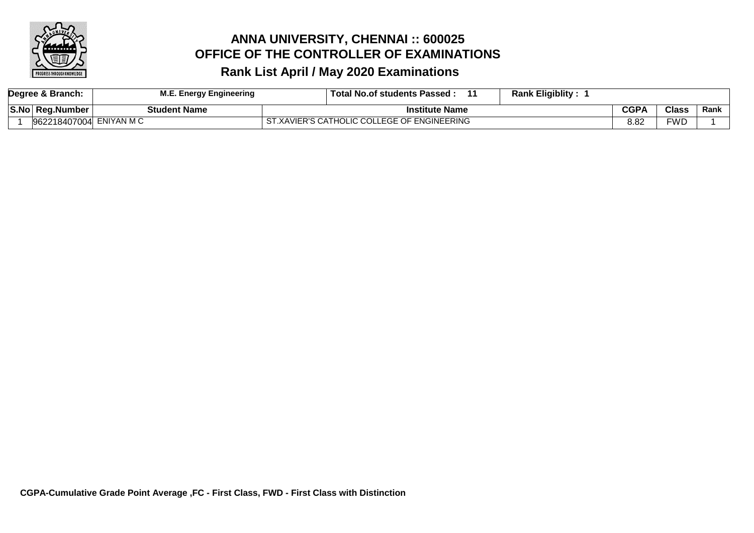

| Degree & Branch: |                         | <b>M.E. Energy Engineering</b> | <b>Rank Eligiblity:</b><br>Total No.of students Passed: |             |              |      |
|------------------|-------------------------|--------------------------------|---------------------------------------------------------|-------------|--------------|------|
|                  | S.No Reg.Number         | Student Name                   | <b>Institute Name</b>                                   | <b>CGPA</b> | <b>Class</b> | Rank |
|                  | 962218407004 ENIYAN M C |                                | ST.XAVIER'S CATHOLIC COLLEGE OF ENGINEERING             | 8.82        | <b>FWD</b>   |      |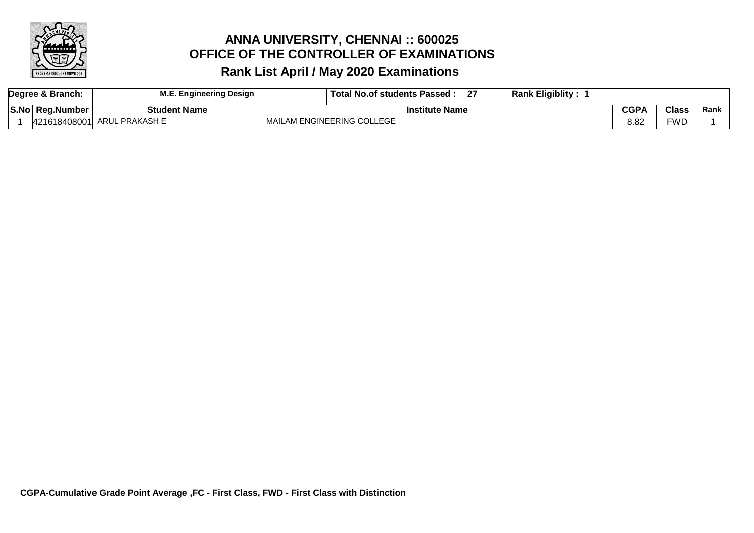

| Degree & Branch: |  |                            | . Engineering Design | <b>Rank Eligiblity:</b><br>^7<br>. Total No.of students Passed :<br>21 |             |              |      |
|------------------|--|----------------------------|----------------------|------------------------------------------------------------------------|-------------|--------------|------|
|                  |  | S.No  Reg.Number           | Student Name         | 'nstitute Name                                                         | <b>CGPA</b> | <b>Class</b> | Rank |
|                  |  | .18408001'<br>101<br>42161 | ARUL PRAKASH E       | MAILAM ENGINEERING COLLEGE                                             | 8.82        | FWD          |      |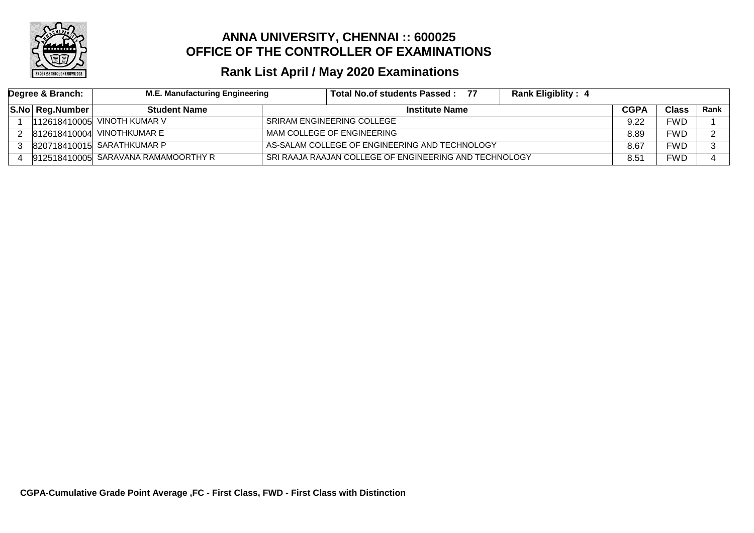

| Degree & Branch: |                 | <b>M.E. Manufacturing Engineering</b> | Total No.of students Passed :<br>77                    | <b>Rank Eligiblity: 4</b> |               |              |        |
|------------------|-----------------|---------------------------------------|--------------------------------------------------------|---------------------------|---------------|--------------|--------|
|                  | S.No Reg.Number | <b>Student Name</b>                   | <b>Institute Name</b>                                  |                           |               | <b>Class</b> | Rank l |
|                  |                 | 112618410005 VINOTH KUMAR V           | SRIRAM ENGINEERING COLLEGE                             |                           |               | <b>FWD</b>   |        |
|                  |                 | 812618410004 VINOTHKUMAR E            | MAM COLLEGE OF ENGINEERING                             |                           |               | <b>FWD</b>   |        |
|                  |                 | 820718410015 SARATHKUMAR P            | AS-SALAM COLLEGE OF ENGINEERING AND TECHNOLOGY         |                           |               | <b>FWD</b>   |        |
|                  |                 | 912518410005 SARAVANA RAMAMOORTHY R   | SRI RAAJA RAAJAN COLLEGE OF ENGINEERING AND TECHNOLOGY |                           | $8.5^{\circ}$ | <b>FWD</b>   |        |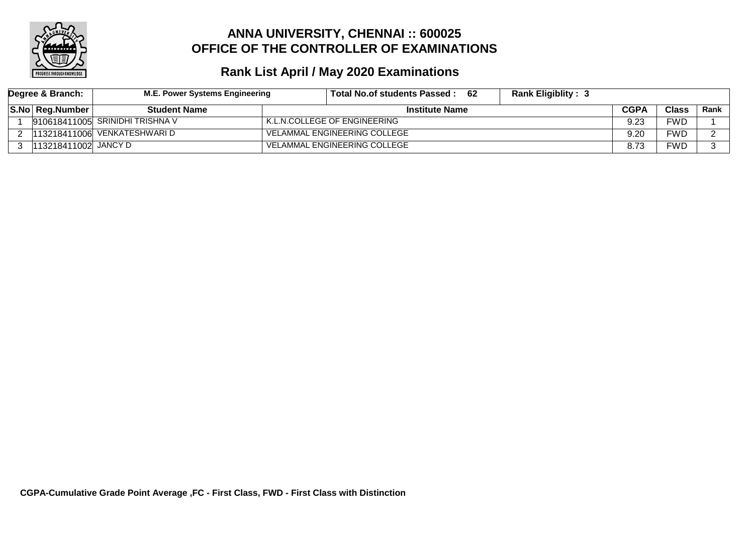

| Degree & Branch: |                       | M.E. Power Systems Engineering    | Total No.of students Passed : | -62<br><b>Rank Eligiblity: 3</b> |             |              |      |
|------------------|-----------------------|-----------------------------------|-------------------------------|----------------------------------|-------------|--------------|------|
|                  | S.No Reg.Number       | <b>Student Name</b>               | <b>Institute Name</b>         |                                  | <b>CGPA</b> | <b>Class</b> | Rank |
|                  |                       | $910618411005$ SRINIDHI TRISHNA V | K.L.N.COLLEGE OF ENGINEERING  |                                  | 9.23        | FWD          |      |
|                  |                       | 113218411006 VENKATESHWARI D      | VELAMMAL ENGINEERING COLLEGE  |                                  | 9.20        | FWD          |      |
|                  | 113218411002  JANCY D |                                   | VELAMMAL ENGINEERING COLLEGE  |                                  | 8.73        | FWD          |      |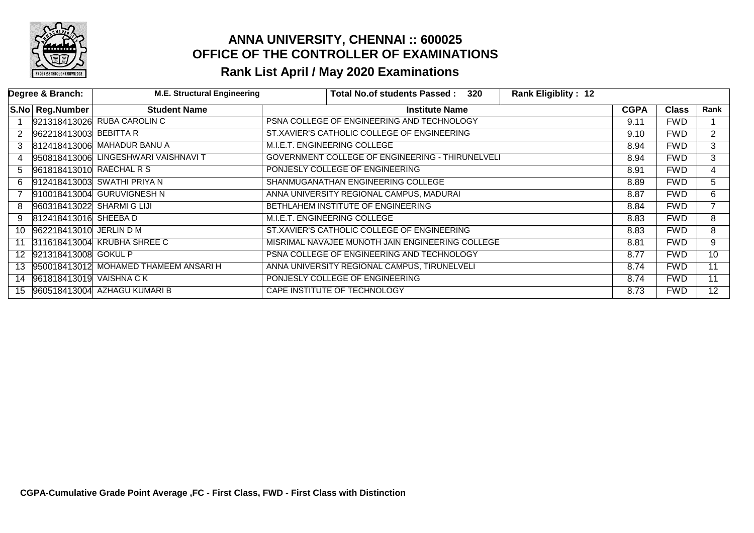

|    | Degree & Branch:           | <b>M.E. Structural Engineering</b>    |                              | <b>Total No.of students Passed:</b>                     | 320 | <b>Rank Eligiblity: 12</b> |             |              |                 |
|----|----------------------------|---------------------------------------|------------------------------|---------------------------------------------------------|-----|----------------------------|-------------|--------------|-----------------|
|    | S.No Reg.Number            | <b>Student Name</b>                   |                              | <b>Institute Name</b>                                   |     |                            | <b>CGPA</b> | <b>Class</b> | Rank            |
|    |                            | 921318413026 RUBA CAROLIN C           |                              | PSNA COLLEGE OF ENGINEERING AND TECHNOLOGY              |     |                            | 9.11        | <b>FWD</b>   |                 |
| 2  | 962218413003 BEBITTA R     |                                       |                              | ST.XAVIER'S CATHOLIC COLLEGE OF ENGINEERING             |     |                            | 9.10        | <b>FWD</b>   | $\overline{2}$  |
| 3  |                            | 812418413006 MAHADUR BANU A           | M.I.E.T. ENGINEERING COLLEGE |                                                         |     |                            | 8.94        | <b>FWD</b>   | 3               |
| 4  |                            | 950818413006 LINGESHWARI VAISHNAVI T  |                              | <b>GOVERNMENT COLLEGE OF ENGINEERING - THIRUNELVELI</b> |     |                            | 8.94        | <b>FWD</b>   | 3               |
| 5  | 961818413010 RAECHAL R S   |                                       |                              | PONJESLY COLLEGE OF ENGINEERING                         |     |                            | 8.91        | <b>FWD</b>   | 4               |
| 6  |                            | 912418413003 SWATHI PRIYA N           |                              | SHANMUGANATHAN ENGINEERING COLLEGE                      |     |                            | 8.89        | <b>FWD</b>   | 5.              |
|    |                            | 910018413004 GURUVIGNESH N            |                              | ANNA UNIVERSITY REGIONAL CAMPUS, MADURAI                |     |                            | 8.87        | <b>FWD</b>   | 6               |
| 8  | 960318413022 SHARMI G LIJI |                                       |                              | BETHLAHEM INSTITUTE OF ENGINEERING                      |     |                            | 8.84        | <b>FWD</b>   |                 |
| 9  | 812418413016 SHEEBA D      |                                       | M.I.E.T. ENGINEERING COLLEGE |                                                         |     |                            | 8.83        | <b>FWD</b>   | 8               |
| 10 | 962218413010 JERLIN D M    |                                       |                              | ST.XAVIER'S CATHOLIC COLLEGE OF ENGINEERING             |     |                            | 8.83        | <b>FWD</b>   | 8               |
| 11 |                            | 311618413004 KRUBHA SHREE C           |                              | MISRIMAL NAVAJEE MUNOTH JAIN ENGINEERING COLLEGE        |     |                            | 8.81        | <b>FWD</b>   | 9               |
|    | 12 921318413008 GOKUL P    |                                       |                              | PSNA COLLEGE OF ENGINEERING AND TECHNOLOGY              |     |                            | 8.77        | <b>FWD</b>   | 10              |
| 13 |                            | 950018413012 MOHAMED THAMEEM ANSARI H |                              | ANNA UNIVERSITY REGIONAL CAMPUS, TIRUNELVELI            |     |                            | 8.74        | <b>FWD</b>   | 11              |
| 14 | 961818413019 VAISHNA CK    |                                       |                              | PONJESLY COLLEGE OF ENGINEERING                         |     |                            | 8.74        | <b>FWD</b>   | 11              |
| 15 |                            | 960518413004 AZHAGU KUMARI B          |                              | CAPE INSTITUTE OF TECHNOLOGY                            |     |                            | 8.73        | <b>FWD</b>   | 12 <sup>2</sup> |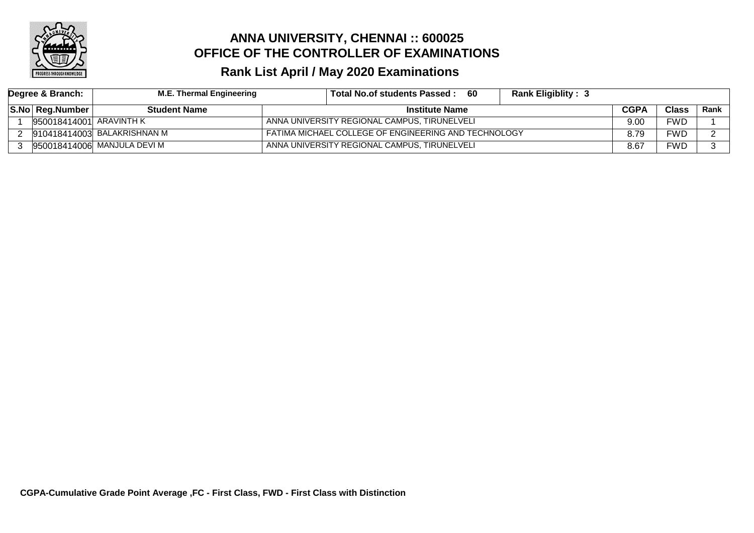

| Degree & Branch: |                         | M.E. Thermal Engineering    | Total No.of students Passed:                         | -60 | <b>Rank Eligiblity: 3</b> |             |              |      |
|------------------|-------------------------|-----------------------------|------------------------------------------------------|-----|---------------------------|-------------|--------------|------|
|                  | S.No Reg.Number         | <b>Student Name</b>         | <b>Institute Name</b>                                |     |                           | <b>CGPA</b> | <b>Class</b> | Rank |
|                  | 950018414001 ARAVINTH K |                             | ANNA UNIVERSITY REGIONAL CAMPUS, TIRUNELVELI         |     |                           | 9.00        | <b>FWD</b>   |      |
|                  |                         | 910418414003 BALAKRISHNAN M | FATIMA MICHAEL COLLEGE OF ENGINEERING AND TECHNOLOGY |     |                           | 8.79        | FWD          |      |
|                  |                         | 950018414006 MANJULA DEVI M | ANNA UNIVERSITY REGIONAL CAMPUS, TIRUNELVELI         |     |                           | 8.67        | FWD          |      |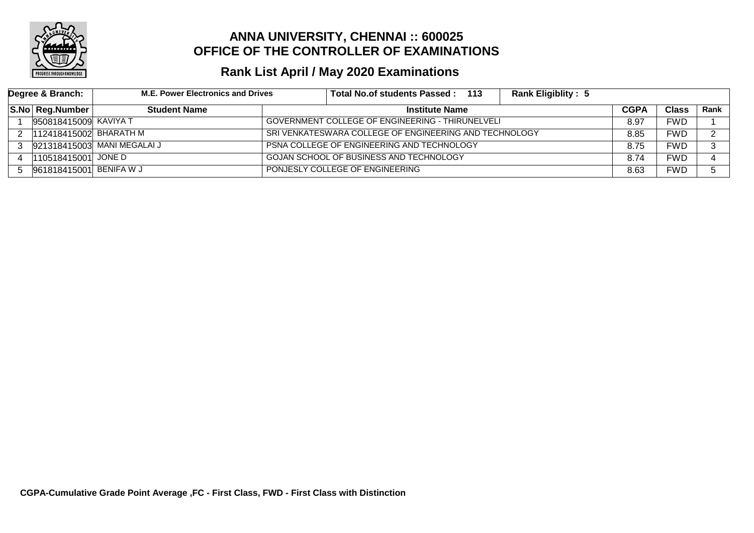

| Degree & Branch: |                         | <b>M.E. Power Electronics and Drives</b> |  | Total No.of students Passed: 113                        | <b>Rank Eligiblity: 5</b> |             |              |      |
|------------------|-------------------------|------------------------------------------|--|---------------------------------------------------------|---------------------------|-------------|--------------|------|
|                  | S.No Reg.Number         | <b>Student Name</b>                      |  | <b>Institute Name</b>                                   |                           | <b>CGPA</b> | <b>Class</b> | Rank |
|                  | 950818415009 KAVIYA T   |                                          |  | <b>GOVERNMENT COLLEGE OF ENGINEERING - THIRUNELVELI</b> |                           | 8.97        | FWD          |      |
| 2                | 112418415002 BHARATH M  |                                          |  | SRI VENKATESWARA COLLEGE OF ENGINEERING AND TECHNOLOGY  |                           | 8.85        | FWD          |      |
| 3                |                         | 921318415003 MANI MEGALAI J              |  | <b>PSNA COLLEGE OF ENGINEERING AND TECHNOLOGY</b>       |                           | 8.75        | FWD          |      |
|                  | 110518415001 JONE D     |                                          |  | GOJAN SCHOOL OF BUSINESS AND TECHNOLOGY                 |                           | 8.74        | FWD          |      |
|                  | 961818415001 BENIFA W J |                                          |  | PONJESLY COLLEGE OF ENGINEERING                         |                           | 8.63        | FWD          |      |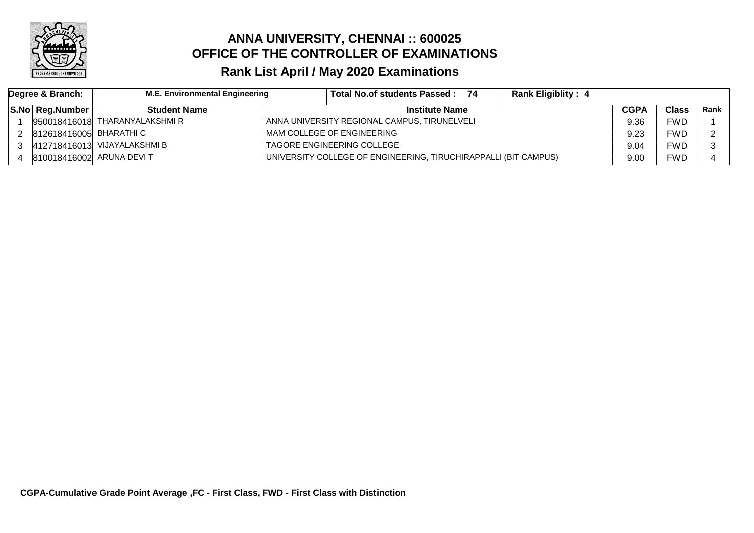

| Degree & Branch: |                          | <b>M.E. Environmental Engineering</b> |                                                                 | Total No.of students Passed: 74              | <b>Rank Eligiblity: 4</b> |             |              |      |
|------------------|--------------------------|---------------------------------------|-----------------------------------------------------------------|----------------------------------------------|---------------------------|-------------|--------------|------|
|                  | S.No Reg.Number          | <b>Student Name</b>                   |                                                                 | <b>Institute Name</b>                        |                           | <b>CGPA</b> | <b>Class</b> | Rank |
|                  |                          | 950018416018 THARANYALAKSHMI R        |                                                                 | ANNA UNIVERSITY REGIONAL CAMPUS, TIRUNELVELI |                           | 9.36        | FWD          |      |
|                  | 812618416005 BHARATHI C  |                                       |                                                                 | MAM COLLEGE OF ENGINEERING                   |                           | 9.23        | FWD          |      |
|                  |                          | 412718416013 VIJAYALAKSHMI B          | TAGORE ENGINEERING COLLEGE                                      |                                              | 9.04                      | FWD         |              |      |
|                  | 810018416002 ARUNA DEVIT |                                       | UNIVERSITY COLLEGE OF ENGINEERING, TIRUCHIRAPPALLI (BIT CAMPUS) |                                              | 9.00                      | <b>FWD</b>  |              |      |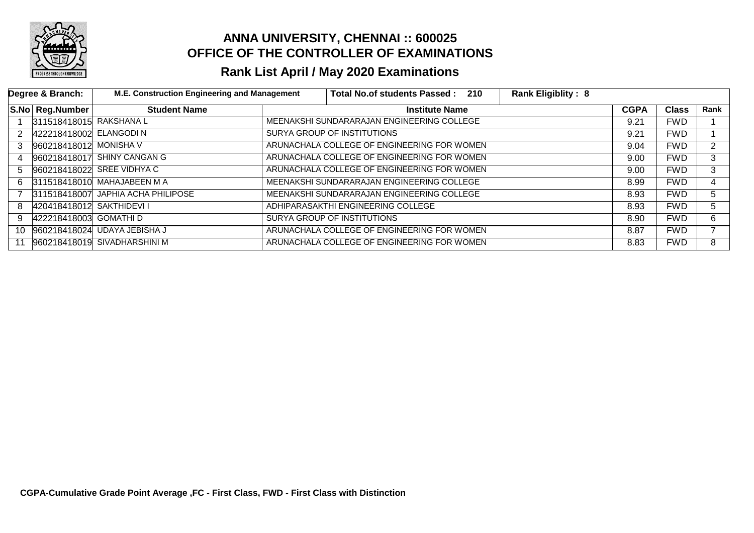

|    | Degree & Branch:         | M.E. Construction Engineering and Management | Total No.of students Passed: 210<br><b>Rank Eligiblity: 8</b> |             |              |                |
|----|--------------------------|----------------------------------------------|---------------------------------------------------------------|-------------|--------------|----------------|
|    | S.No Reg.Number          | <b>Student Name</b>                          | <b>Institute Name</b>                                         | <b>CGPA</b> | <b>Class</b> | Rank           |
|    | 311518418015 RAKSHANA L  |                                              | MEENAKSHI SUNDARARAJAN ENGINEERING COLLEGE                    | 9.21        | <b>FWD</b>   |                |
| 2  | 422218418002 ELANGODI N  |                                              | SURYA GROUP OF INSTITUTIONS                                   | 9.21        | <b>FWD</b>   |                |
| 3  | 960218418012 MONISHA V   |                                              | ARUNACHALA COLLEGE OF ENGINEERING FOR WOMEN                   | 9.04        | <b>FWD</b>   | $\overline{2}$ |
| 4  |                          | 960218418017 SHINY CANGAN G                  | ARUNACHALA COLLEGE OF ENGINEERING FOR WOMEN                   | 9.00        | <b>FWD</b>   | 3              |
| 5. |                          | 960218418022 SREE VIDHYA C                   | ARUNACHALA COLLEGE OF ENGINEERING FOR WOMEN                   | 9.00        | <b>FWD</b>   | 3              |
| 6. |                          | 311518418010 MAHAJABEEN M A                  | MEENAKSHI SUNDARARAJAN ENGINEERING COLLEGE                    | 8.99        | <b>FWD</b>   | 4              |
|    |                          | 311518418007 JAPHIA ACHA PHILIPOSE           | MEENAKSHI SUNDARARAJAN ENGINEERING COLLEGE                    | 8.93        | <b>FWD</b>   | 5 <sub>5</sub> |
| 8  | 420418418012 SAKTHIDEVIT |                                              | ADHIPARASAKTHI ENGINEERING COLLEGE                            | 8.93        | <b>FWD</b>   | 5              |
| 9  | 422218418003 GOMATHI D   |                                              | SURYA GROUP OF INSTITUTIONS                                   | 8.90        | <b>FWD</b>   | 6              |
| 10 |                          | 960218418024 UDAYA JEBISHA J                 | ARUNACHALA COLLEGE OF ENGINEERING FOR WOMEN                   | 8.87        | <b>FWD</b>   |                |
| 11 |                          | 960218418019 SIVADHARSHINI M                 | ARUNACHALA COLLEGE OF ENGINEERING FOR WOMEN                   | 8.83        | <b>FWD</b>   | 8              |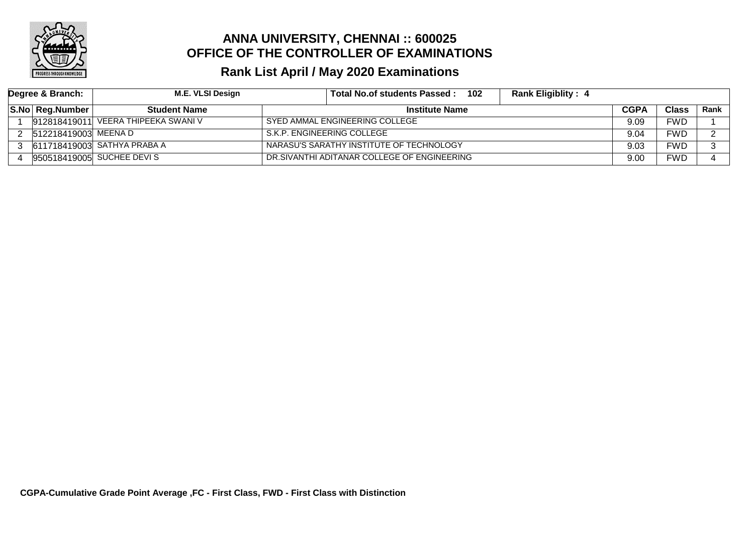

| Degree & Branch: |                      | M.E. VLSI Design                        | 102<br><b>Rank Eligiblity: 4</b><br>Total No.of students Passed: |             |              |      |
|------------------|----------------------|-----------------------------------------|------------------------------------------------------------------|-------------|--------------|------|
|                  | S.No Reg.Number      | <b>Student Name</b>                     | <b>Institute Name</b>                                            | <b>CGPA</b> | <b>Class</b> | Rank |
|                  |                      | $ 912818419011 $ VEERA THIPEEKA SWANI V | SYED AMMAL ENGINEERING COLLEGE                                   | 9.09        | FWD          |      |
|                  | 512218419003 MEENA D |                                         | S.K.P. ENGINEERING COLLEGE                                       | 9.04        | FWD          |      |
|                  |                      | 3 611718419003 SATHYA PRABA A           | NARASU'S SARATHY INSTITUTE OF TECHNOLOGY                         | 9.03        | FWD          |      |
|                  |                      | 950518419005 SUCHEE DEVIS               | DR.SIVANTHI ADITANAR COLLEGE OF ENGINEERING                      |             | FWD          |      |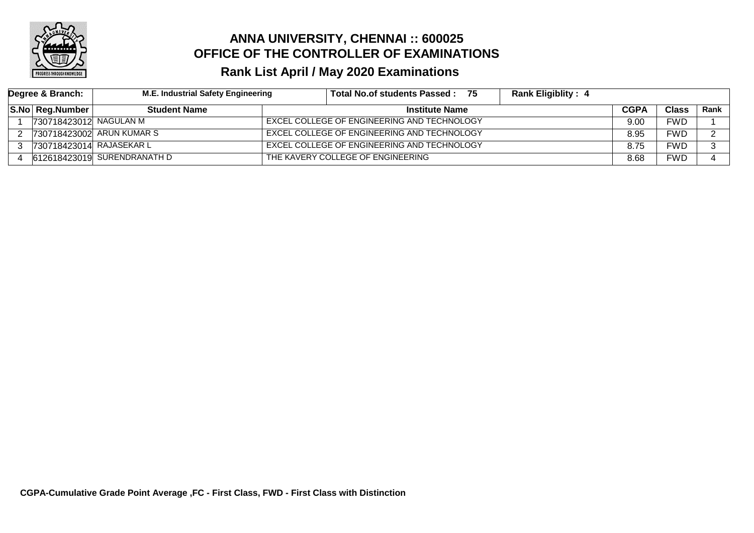

| Degree & Branch: |                          | M.E. Industrial Safety Engineering |  | Total No.of students Passed: 75             | <b>Rank Eligiblity: 4</b> |             |              |      |
|------------------|--------------------------|------------------------------------|--|---------------------------------------------|---------------------------|-------------|--------------|------|
|                  | S.No Reg.Number          | <b>Student Name</b>                |  | <b>Institute Name</b>                       |                           | <b>CGPA</b> | <b>Class</b> | Rank |
|                  | 730718423012 NAGULAN M   |                                    |  | EXCEL COLLEGE OF ENGINEERING AND TECHNOLOGY |                           | 9.00        | FWD          |      |
|                  |                          | 730718423002 ARUN KUMAR S          |  | EXCEL COLLEGE OF ENGINEERING AND TECHNOLOGY |                           | 8.95        | FWD          |      |
|                  | 730718423014 RAJASEKAR L |                                    |  | EXCEL COLLEGE OF ENGINEERING AND TECHNOLOGY |                           | 8.75        | FWD          |      |
|                  |                          | 612618423019 SURENDRANATH D        |  | THE KAVERY COLLEGE OF ENGINEERING           |                           | 8.68        | FWD          |      |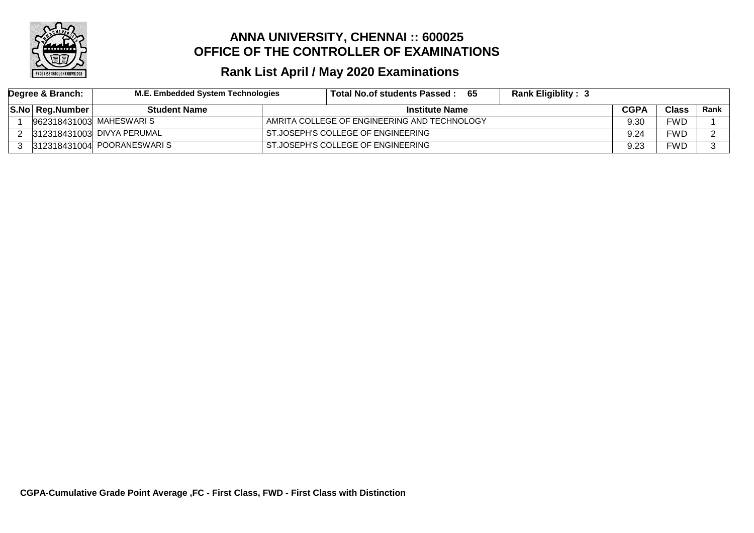

| Degree & Branch: | M.E. Embedded System Technologies | - 65<br>Total No.of students Passed :        | <b>Rank Eligiblity: 3</b> |             |              |      |
|------------------|-----------------------------------|----------------------------------------------|---------------------------|-------------|--------------|------|
| S.No Reg.Number  | <b>Student Name</b>               | <b>Institute Name</b>                        |                           | <b>CGPA</b> | <b>Class</b> | Rank |
|                  | 962318431003  MAHESWARI S         | AMRITA COLLEGE OF ENGINEERING AND TECHNOLOGY |                           | 9.30        | FWD          |      |
|                  | 312318431003 DIVYA PERUMAL        | ST.JOSEPH'S COLLEGE OF ENGINEERING           |                           | 9.24        | FWD          |      |
|                  | 312318431004 POORANESWARIS        | ST.JOSEPH'S COLLEGE OF ENGINEERING           |                           | 9.23        | FWD          |      |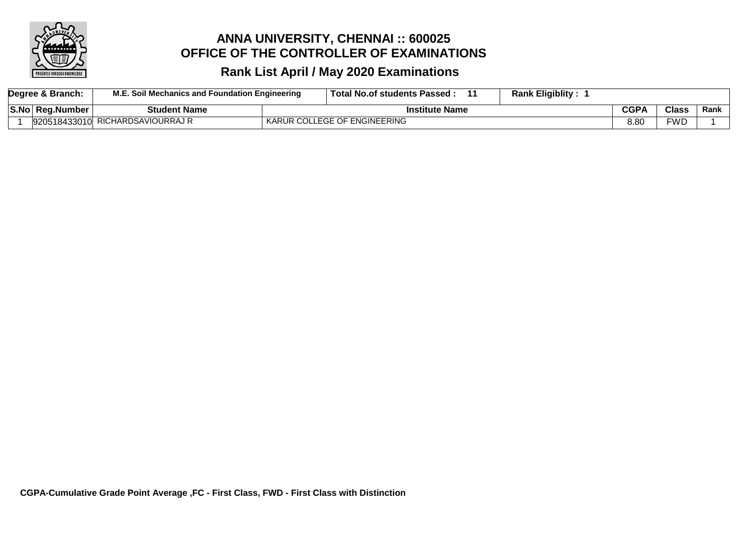

| Degree & Branch: | M.E. Soil Mechanics and Foundation Engineering | Total No.of students Passed: | <b>Rank Eligiblity:</b> |             |              |      |
|------------------|------------------------------------------------|------------------------------|-------------------------|-------------|--------------|------|
| S.No Reg.Number  | Student Name                                   | <b>Institute Name</b>        |                         | <b>CGPA</b> | <b>Class</b> | Rank |
|                  | 920518433010 RICHARDSAVIOURRAJ R               | KARUR COLLEGE OF ENGINEERING |                         | 8.80        | FWD          |      |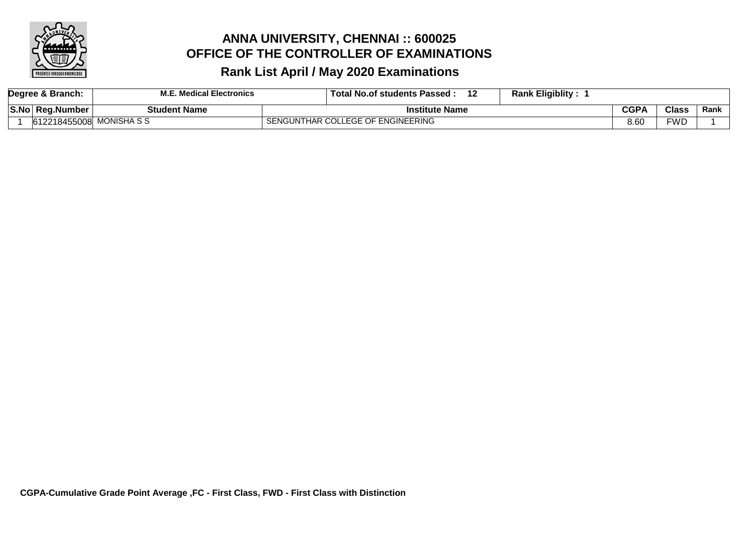

|             | Degree & Branch:         | <b>M.E. Medical Electronics</b> | <b>Rank Eligiblity:</b><br>12<br><b>Total No.of students Passed:</b> |             |              |      |
|-------------|--------------------------|---------------------------------|----------------------------------------------------------------------|-------------|--------------|------|
| <b>S.No</b> | <b>Reg.Number</b>        | <b>Student Name</b>             | <b>Institute Name</b>                                                | <b>CGPA</b> | <b>Class</b> | Rank |
|             | 612218455008 MONISHA S S |                                 | SENGUNTHAR COLLEGE OF ENGINEERING                                    | 8.60        | <b>FWD</b>   |      |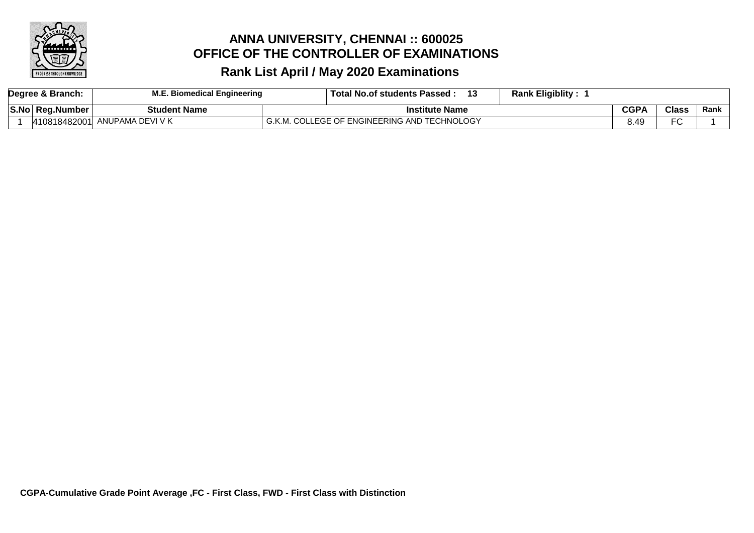

|      | Degree & Branch: | E. Biomedical Engineering     | <b>Rank Eligiblity:</b><br>. Total No.of students Passed : |             |                |      |
|------|------------------|-------------------------------|------------------------------------------------------------|-------------|----------------|------|
| S.No | Reg.Number       | Student Name                  | <b>Institute Name</b>                                      | <b>CGPA</b> | <b>Class</b>   | Rank |
|      |                  | 410818482001 ANUPAMA DEVI V K | L COLLEGE OF ENGINEERING AND TECHNOLOGY                    | 8.49        | $\Gamma$<br>╰╰ |      |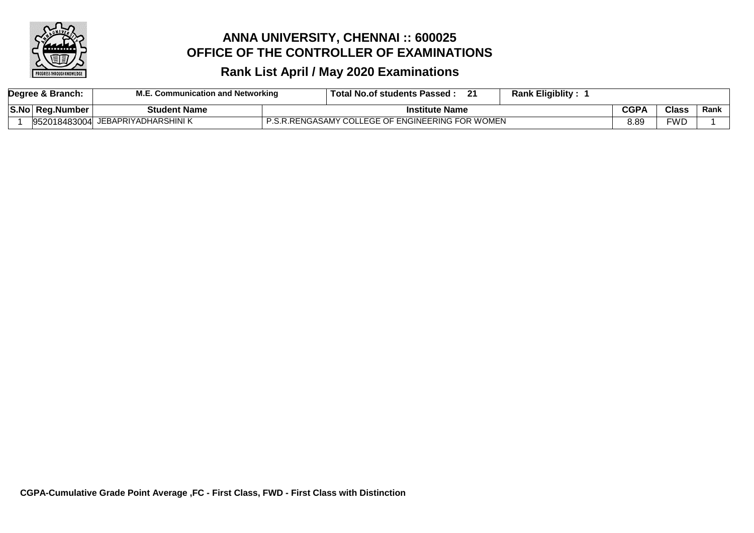

|  | Degree & Branch: | Communication and Networking | ີ<br><b>Total No.of students Passed.</b>         | <b>Rank Eligiblity:</b> |             |               |      |
|--|------------------|------------------------------|--------------------------------------------------|-------------------------|-------------|---------------|------|
|  | S.No  Reg.Number | <b>Student Name</b>          | Institute Name                                   |                         | <b>CGP/</b> | $\bigcap$ ass | Rank |
|  | 952018483004     | JEBAPRIYADHARSHINI K         | P.S.R.RENGASAMY COLLEGE OF ENGINEERING FOR WOMEN |                         | 3.8S        | =WD           |      |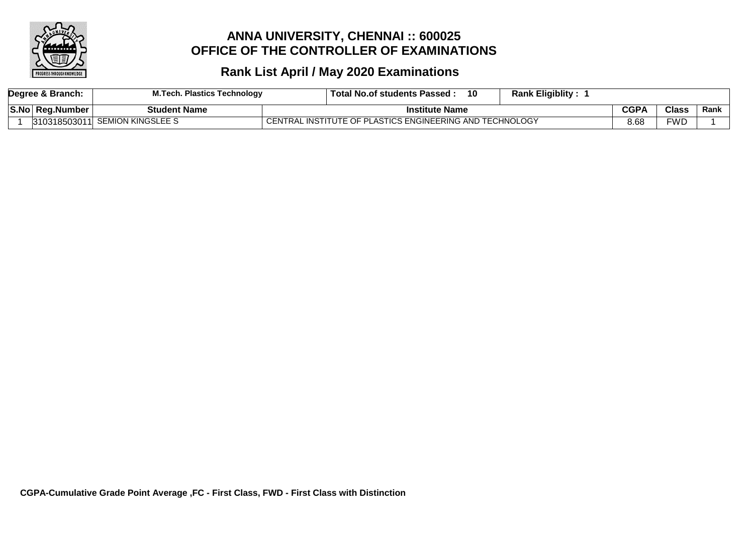

|  | Degree & Branch:       | M.Tech. Plastics Technology    | 10<br>Total No.of students Passed:                       | <b>Rank Eligiblity:</b> |      |              |      |
|--|------------------------|--------------------------------|----------------------------------------------------------|-------------------------|------|--------------|------|
|  | <b>S.No Reg.Number</b> | <b>Student Name</b>            | Institute Name                                           |                         | CGPA | <b>Class</b> | Rank |
|  |                        | 310318503011 SEMION KINGSLEE S | CENTRAL INSTITUTE OF PLASTICS ENGINEERING AND TECHNOLOGY |                         | 8.68 | FWD          |      |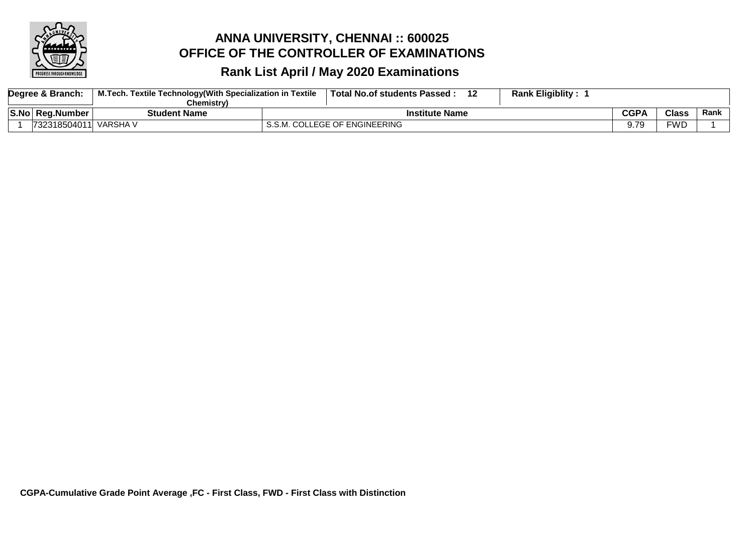

| Degree & Branch: |              | M.Tech. Textile Technology(With Specialization in Textile | 40<br><b>Total No.of students Passed</b> | <b>Rank Eligiblity :</b>     |
|------------------|--------------|-----------------------------------------------------------|------------------------------------------|------------------------------|
|                  |              | Chemistrv)                                                |                                          |                              |
| S.No             | ∣ Rea.Number | Student Name                                              | nstitute Name                            | CGPA<br><b>Class</b><br>Rank |
|                  | 732318504011 | VARSHA V                                                  | S.S.M. COLLEGE OF ENGINEERING            | <b>FWD</b><br>7c             |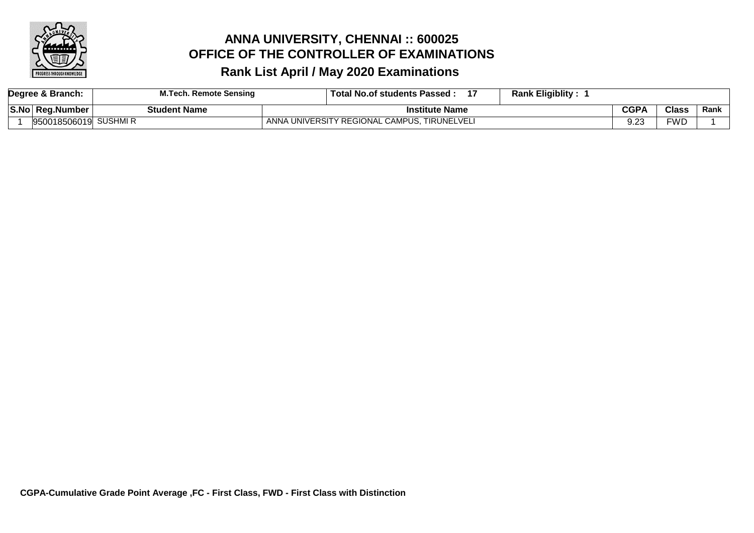

| Degree & Branch: |                      | <b>M.Tech. Remote Sensing</b> | <b>Rank Eligiblity:</b><br>Total No.of students Passed: |             |              |      |
|------------------|----------------------|-------------------------------|---------------------------------------------------------|-------------|--------------|------|
|                  | S.No Reg.Number      | Student Name                  | <b>Institute Name</b>                                   | <b>CGPA</b> | <b>Class</b> | Rank |
|                  | 950018506019 SUSHMIR |                               | ANNA UNIVERSITY REGIONAL CAMPUS, TIRUNELVELI            | ົດ<br>ອ.∠ເ  | FWD          |      |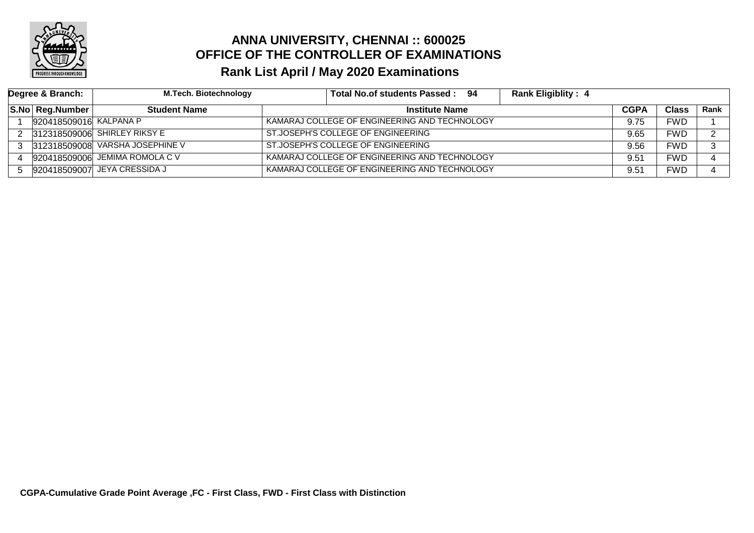

| Degree & Branch: |                              | <b>M.Tech. Biotechnology</b>   | Total No.of students Passed: 94               | <b>Rank Eligiblity: 4</b> |      |       |      |
|------------------|------------------------------|--------------------------------|-----------------------------------------------|---------------------------|------|-------|------|
|                  | S.No Reg.Number <sup> </sup> | <b>Student Name</b>            | <b>Institute Name</b>                         |                           |      | Class | Rank |
|                  | 920418509016 KALPANA P       |                                | KAMARAJ COLLEGE OF ENGINEERING AND TECHNOLOGY |                           |      | FWD   |      |
|                  |                              | 312318509006 SHIRLEY RIKSY E   | ST.JOSEPH'S COLLEGE OF ENGINEERING            |                           | 9.65 | FWD   |      |
|                  | 312318509008                 | VARSHA JOSEPHINE V             | ST.JOSEPH'S COLLEGE OF ENGINEERING            |                           | 9.56 | FWD   |      |
|                  |                              | 920418509006 JEMIMA ROMOLA C V | KAMARAJ COLLEGE OF ENGINEERING AND TECHNOLOGY |                           | 9.51 | FWD   |      |
|                  |                              | 920418509007 JEYA CRESSIDA J   | KAMARAJ COLLEGE OF ENGINEERING AND TECHNOLOGY |                           | 9.51 | FWD   |      |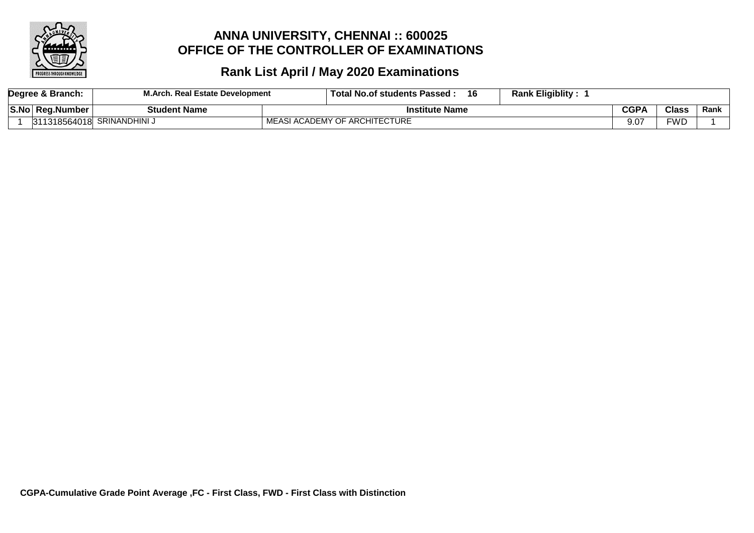

|      | Degree & Branch: | M.Arch.<br>. Real Estate Development | 16<br>Total <sub>1</sub><br>' No.of students Passed . | <b>Rank Eligiblity:</b> |         |              |      |
|------|------------------|--------------------------------------|-------------------------------------------------------|-------------------------|---------|--------------|------|
| S.No | . Rea.Number     | <b>Student Name</b>                  | Institute Name                                        |                         |         | <b>Class</b> | Rank |
|      | 311318564018     | <b>SRINANDHINI</b>                   | CADEMY OF ARCHITECTURE                                |                         | $9.0^-$ | <b>FWD</b>   |      |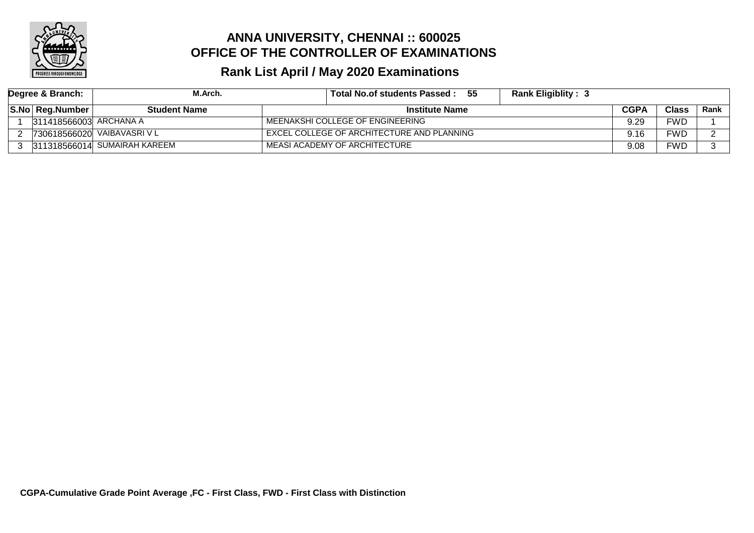

| Degree & Branch: |                        | M.Arch.                      | - 55<br><b>Rank Eligiblity: 3</b><br>Total No.of students Passed : |             |              |        |
|------------------|------------------------|------------------------------|--------------------------------------------------------------------|-------------|--------------|--------|
|                  | S.No Reg.Number        | Student Name                 | <b>Institute Name</b>                                              | <b>CGPA</b> | <b>Class</b> | Rank l |
|                  | 311418566003 ARCHANA A |                              | MEENAKSHI COLLEGE OF ENGINEERING                                   | 9.29        | <b>FWD</b>   |        |
|                  |                        | 730618566020 VAIBAVASRI V L  | EXCEL COLLEGE OF ARCHITECTURE AND PLANNING                         | 9.16        | <b>FWD</b>   |        |
|                  |                        | 311318566014 SUMAIRAH KAREEM | MEASI ACADEMY OF ARCHITECTURE                                      | 9.08        | <b>FWD</b>   |        |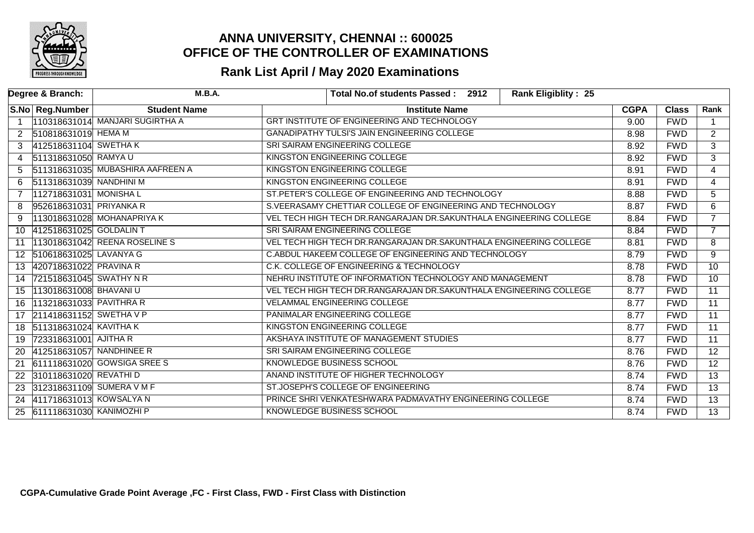

| Degree & Branch: |                           | M.B.A.                           |                                                          | Total No.of students Passed: 2912                                  | <b>Rank Eligiblity: 25</b> |              |                 |                 |
|------------------|---------------------------|----------------------------------|----------------------------------------------------------|--------------------------------------------------------------------|----------------------------|--------------|-----------------|-----------------|
|                  | S.No Reg.Number           | <b>Student Name</b>              | <b>Institute Name</b>                                    |                                                                    | <b>CGPA</b>                | <b>Class</b> | Rank            |                 |
|                  |                           | 110318631014 MANJARI SUGIRTHA A  |                                                          | GRT INSTITUTE OF ENGINEERING AND TECHNOLOGY                        |                            | 9.00         | <b>FWD</b>      |                 |
| 2                | 510818631019 HEMA M       |                                  |                                                          | GANADIPATHY TULSI'S JAIN ENGINEERING COLLEGE                       |                            | 8.98         | <b>FWD</b>      | $\overline{2}$  |
|                  | 412518631104 SWETHAK      |                                  |                                                          | SRI SAIRAM ENGINEERING COLLEGE                                     |                            | 8.92         | <b>FWD</b>      | $\overline{3}$  |
| 4                | 511318631050 RAMYA U      |                                  |                                                          | <b>KINGSTON ENGINEERING COLLEGE</b>                                |                            | 8.92         | <b>FWD</b>      | $\overline{3}$  |
| 5                |                           | 511318631035 MUBASHIRA AAFREEN A |                                                          | <b>KINGSTON ENGINEERING COLLEGE</b>                                |                            | 8.91         | <b>FWD</b>      | $\overline{4}$  |
| 6                | 511318631039 NANDHINI M   |                                  |                                                          | KINGSTON ENGINEERING COLLEGE                                       |                            | 8.91         | <b>FWD</b>      | 4               |
|                  | 112718631031 MONISHA L    |                                  |                                                          | ST.PETER'S COLLEGE OF ENGINEERING AND TECHNOLOGY                   |                            | 8.88         | <b>FWD</b>      | $\overline{5}$  |
| 8                | 952618631031 PRIYANKA R   |                                  |                                                          | S.VEERASAMY CHETTIAR COLLEGE OF ENGINEERING AND TECHNOLOGY         |                            | 8.87         | <b>FWD</b>      | 6               |
| 9                |                           | 113018631028 MOHANAPRIYA K       |                                                          | VEL TECH HIGH TECH DR.RANGARAJAN DR.SAKUNTHALA ENGINEERING COLLEGE |                            | 8.84         | <b>FWD</b>      | $\overline{7}$  |
| 10               | 412518631025 GOLDALIN T   |                                  |                                                          | SRI SAIRAM ENGINEERING COLLEGE                                     |                            | 8.84         | <b>FWD</b>      | $\overline{7}$  |
| 11               |                           | 113018631042 REENA ROSELINE S    |                                                          | VEL TECH HIGH TECH DR.RANGARAJAN DR.SAKUNTHALA ENGINEERING COLLEGE |                            | 8.81         | <b>FWD</b>      | $\overline{8}$  |
| $12 \,$          | 510618631025 LAVANYA G    |                                  |                                                          | C.ABDUL HAKEEM COLLEGE OF ENGINEERING AND TECHNOLOGY               |                            | 8.79         | <b>FWD</b>      | 9               |
| 13               | 420718631022 PRAVINA R    |                                  |                                                          | C.K. COLLEGE OF ENGINEERING & TECHNOLOGY                           |                            | 8.78         | <b>FWD</b>      | 10              |
| 14               | 721518631045 SWATHY N R   |                                  | NEHRU INSTITUTE OF INFORMATION TECHNOLOGY AND MANAGEMENT |                                                                    | 8.78                       | <b>FWD</b>   | 10 <sup>°</sup> |                 |
| 15               | 113018631008 BHAVANIU     |                                  |                                                          | VEL TECH HIGH TECH DR.RANGARAJAN DR.SAKUNTHALA ENGINEERING COLLEGE |                            | 8.77         | <b>FWD</b>      | $\overline{11}$ |
| 16               | 113218631033 PAVITHRA R   |                                  |                                                          | VELAMMAL ENGINEERING COLLEGE                                       |                            | 8.77         | <b>FWD</b>      | $\overline{11}$ |
| 17               | 211418631152 SWETHA V P   |                                  |                                                          | PANIMALAR ENGINEERING COLLEGE                                      |                            | 8.77         | <b>FWD</b>      | 11              |
| 18               | 511318631024 KAVITHA K    |                                  |                                                          | <b>KINGSTON ENGINEERING COLLEGE</b>                                |                            | 8.77         | <b>FWD</b>      | $\overline{11}$ |
| 19               | 723318631001 AJITHA R     |                                  |                                                          | AKSHAYA INSTITUTE OF MANAGEMENT STUDIES                            |                            | 8.77         | <b>FWD</b>      | $\overline{11}$ |
| 20               | 412518631057 NANDHINEE R  |                                  |                                                          | SRI SAIRAM ENGINEERING COLLEGE                                     |                            | 8.76         | <b>FWD</b>      | $\overline{12}$ |
| 21               |                           | 611118631020 GOWSIGA SREE S      |                                                          | KNOWLEDGE BUSINESS SCHOOL                                          |                            | 8.76         | <b>FWD</b>      | $\overline{12}$ |
| 22               | 310118631020 REVATHI D    |                                  |                                                          | ANAND INSTITUTE OF HIGHER TECHNOLOGY                               |                            | 8.74         | FWD             | $\overline{13}$ |
| 23               | 312318631109 SUMERA V M F |                                  |                                                          | ST.JOSEPH'S COLLEGE OF ENGINEERING                                 |                            | 8.74         | <b>FWD</b>      | $\overline{13}$ |
| 24               | 411718631013 KOWSALYA N   |                                  |                                                          | PRINCE SHRI VENKATESHWARA PADMAVATHY ENGINEERING COLLEGE           |                            | 8.74         | <b>FWD</b>      | $\overline{13}$ |
| 25               | 611118631030 KANIMOZHI P  |                                  |                                                          | <b>KNOWLEDGE BUSINESS SCHOOL</b>                                   |                            | 8.74         | <b>FWD</b>      | $\overline{13}$ |